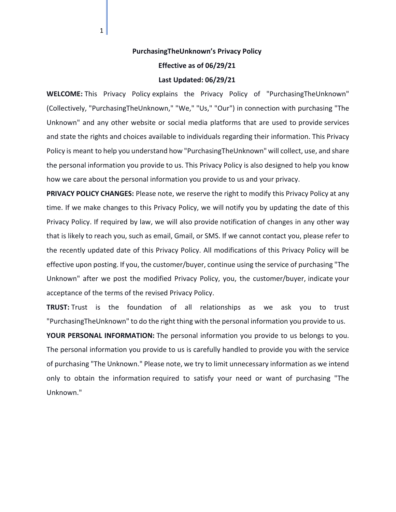## **PurchasingTheUnknown's Privacy Policy**

**Effective as of 06/29/21**

## **Last Updated: 06/29/21**

**WELCOME:** This Privacy Policy explains the Privacy Policy of "PurchasingTheUnknown" (Collectively, "PurchasingTheUnknown," "We," "Us," "Our") in connection with purchasing "The Unknown" and any other website or social media platforms that are used to provide services and state the rights and choices available to individuals regarding their information. This Privacy Policy is meant to help you understand how "PurchasingTheUnknown" will collect, use, and share the personal information you provide to us. This Privacy Policy is also designed to help you know how we care about the personal information you provide to us and your privacy.

**PRIVACY POLICY CHANGES:** Please note, we reserve the right to modify this Privacy Policy at any time. If we make changes to this Privacy Policy, we will notify you by updating the date of this Privacy Policy. If required by law, we will also provide notification of changes in any other way that is likely to reach you, such as email, Gmail, or SMS. If we cannot contact you, please refer to the recently updated date of this Privacy Policy. All modifications of this Privacy Policy will be effective upon posting. If you, the customer/buyer, continue using the service of purchasing "The Unknown" after we post the modified Privacy Policy, you, the customer/buyer, indicate your acceptance of the terms of the revised Privacy Policy.

**TRUST:** Trust is the foundation of all relationships as we ask you to trust "PurchasingTheUnknown" to do the right thing with the personal information you provide to us.

**YOUR PERSONAL INFORMATION:** The personal information you provide to us belongs to you. The personal information you provide to us is carefully handled to provide you with the service of purchasing "The Unknown." Please note, we try to limit unnecessary information as we intend only to obtain the information required to satisfy your need or want of purchasing "The Unknown."

 $1|$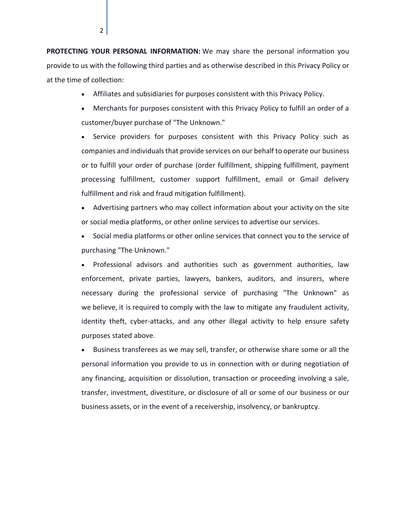**PROTECTING YOUR PERSONAL INFORMATION:** We may share the personal information you provide to us with the following third parties and as otherwise described in this Privacy Policy or at the time of collection:

2

- Affiliates and subsidiaries for purposes consistent with this Privacy Policy.
- Merchants for purposes consistent with this Privacy Policy to fulfill an order of a customer/buyer purchase of "The Unknown."

• Service providers for purposes consistent with this Privacy Policy such as companies and individuals that provide services on our behalf to operate our business or to fulfill your order of purchase (order fulfillment, shipping fulfillment, payment processing fulfillment, customer support fulfillment, email or Gmail delivery fulfillment and risk and fraud mitigation fulfillment).

- Advertising partners who may collect information about your activity on the site or social media platforms, or other online services to advertise our services.
- Social media platforms or other online services that connect you to the service of purchasing "The Unknown."

• Professional advisors and authorities such as government authorities, law enforcement, private parties, lawyers, bankers, auditors, and insurers, where necessary during the professional service of purchasing "The Unknown" as we believe, it is required to comply with the law to mitigate any fraudulent activity, identity theft, cyber-attacks, and any other illegal activity to help ensure safety purposes stated above.

• Business transferees as we may sell, transfer, or otherwise share some or all the personal information you provide to us in connection with or during negotiation of any financing, acquisition or dissolution, transaction or proceeding involving a sale, transfer, investment, divestiture, or disclosure of all or some of our business or our business assets, or in the event of a receivership, insolvency, or bankruptcy.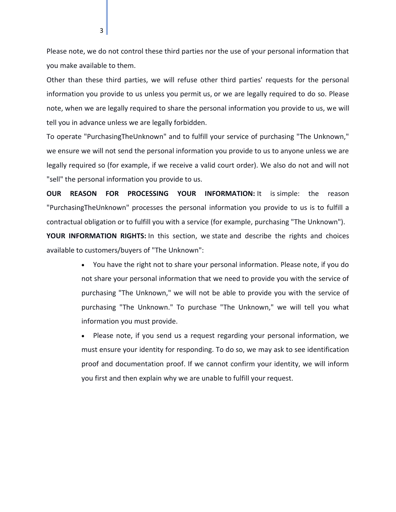Please note, we do not control these third parties nor the use of your personal information that you make available to them.

Other than these third parties, we will refuse other third parties' requests for the personal information you provide to us unless you permit us, or we are legally required to do so. Please note, when we are legally required to share the personal information you provide to us, we will tell you in advance unless we are legally forbidden.

To operate "PurchasingTheUnknown" and to fulfill your service of purchasing "The Unknown," we ensure we will not send the personal information you provide to us to anyone unless we are legally required so (for example, if we receive a valid court order). We also do not and will not "sell" the personal information you provide to us.

**OUR REASON FOR PROCESSING YOUR INFORMATION:** It is simple: the reason "PurchasingTheUnknown" processes the personal information you provide to us is to fulfill a contractual obligation or to fulfill you with a service (for example, purchasing "The Unknown").

**YOUR INFORMATION RIGHTS:** In this section, we state and describe the rights and choices available to customers/buyers of "The Unknown":

> • You have the right not to share your personal information. Please note, if you do not share your personal information that we need to provide you with the service of purchasing "The Unknown," we will not be able to provide you with the service of purchasing "The Unknown." To purchase "The Unknown," we will tell you what information you must provide.

> Please note, if you send us a request regarding your personal information, we must ensure your identity for responding. To do so, we may ask to see identification proof and documentation proof. If we cannot confirm your identity, we will inform you first and then explain why we are unable to fulfill your request.

3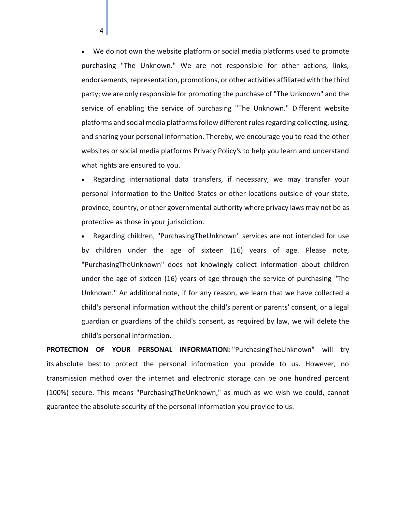• We do not own the website platform or social media platforms used to promote purchasing "The Unknown." We are not responsible for other actions, links, endorsements, representation, promotions, or other activities affiliated with the third party; we are only responsible for promoting the purchase of "The Unknown" and the service of enabling the service of purchasing "The Unknown." Different website platforms and social media platforms follow different rules regarding collecting, using, and sharing your personal information. Thereby, we encourage you to read the other websites or social media platforms Privacy Policy's to help you learn and understand what rights are ensured to you.

4

• Regarding international data transfers, if necessary, we may transfer your personal information to the United States or other locations outside of your state, province, country, or other governmental authority where privacy laws may not be as protective as those in your jurisdiction.

• Regarding children, "PurchasingTheUnknown" services are not intended for use by children under the age of sixteen (16) years of age. Please note, "PurchasingTheUnknown" does not knowingly collect information about children under the age of sixteen (16) years of age through the service of purchasing "The Unknown." An additional note, if for any reason, we learn that we have collected a child's personal information without the child's parent or parents' consent, or a legal guardian or guardians of the child's consent, as required by law, we will delete the child's personal information.

**PROTECTION OF YOUR PERSONAL INFORMATION:** "PurchasingTheUnknown" will try its absolute best to protect the personal information you provide to us. However, no transmission method over the internet and electronic storage can be one hundred percent (100%) secure. This means "PurchasingTheUnknown," as much as we wish we could, cannot guarantee the absolute security of the personal information you provide to us.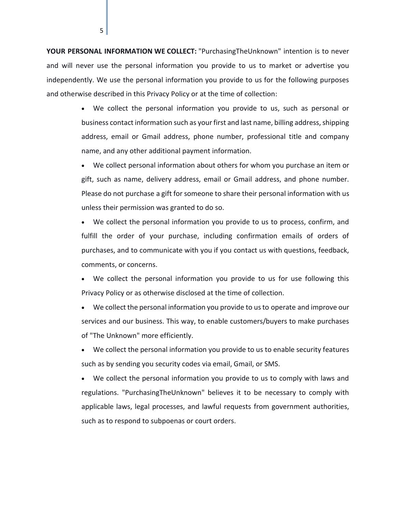**YOUR PERSONAL INFORMATION WE COLLECT:** "PurchasingTheUnknown" intention is to never and will never use the personal information you provide to us to market or advertise you independently. We use the personal information you provide to us for the following purposes and otherwise described in this Privacy Policy or at the time of collection:

5

• We collect the personal information you provide to us, such as personal or business contact information such as your first and last name, billing address, shipping address, email or Gmail address, phone number, professional title and company name, and any other additional payment information.

• We collect personal information about others for whom you purchase an item or gift, such as name, delivery address, email or Gmail address, and phone number. Please do not purchase a gift for someone to share their personal information with us unless their permission was granted to do so.

• We collect the personal information you provide to us to process, confirm, and fulfill the order of your purchase, including confirmation emails of orders of purchases, and to communicate with you if you contact us with questions, feedback, comments, or concerns.

We collect the personal information you provide to us for use following this Privacy Policy or as otherwise disclosed at the time of collection.

• We collect the personal information you provide to us to operate and improve our services and our business. This way, to enable customers/buyers to make purchases of "The Unknown" more efficiently.

• We collect the personal information you provide to us to enable security features such as by sending you security codes via email, Gmail, or SMS.

• We collect the personal information you provide to us to comply with laws and regulations. "PurchasingTheUnknown" believes it to be necessary to comply with applicable laws, legal processes, and lawful requests from government authorities, such as to respond to subpoenas or court orders.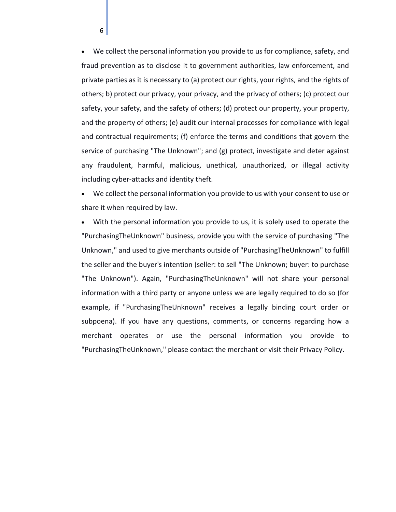• We collect the personal information you provide to us for compliance, safety, and fraud prevention as to disclose it to government authorities, law enforcement, and private parties as it is necessary to (a) protect our rights, your rights, and the rights of others; b) protect our privacy, your privacy, and the privacy of others; (c) protect our safety, your safety, and the safety of others; (d) protect our property, your property, and the property of others; (e) audit our internal processes for compliance with legal and contractual requirements; (f) enforce the terms and conditions that govern the service of purchasing "The Unknown"; and (g) protect, investigate and deter against any fraudulent, harmful, malicious, unethical, unauthorized, or illegal activity including cyber-attacks and identity theft.

• We collect the personal information you provide to us with your consent to use or share it when required by law.

• With the personal information you provide to us, it is solely used to operate the "PurchasingTheUnknown" business, provide you with the service of purchasing "The Unknown," and used to give merchants outside of "PurchasingTheUnknown" to fulfill the seller and the buyer's intention (seller: to sell "The Unknown; buyer: to purchase "The Unknown"). Again, "PurchasingTheUnknown" will not share your personal information with a third party or anyone unless we are legally required to do so (for example, if "PurchasingTheUnknown" receives a legally binding court order or subpoena). If you have any questions, comments, or concerns regarding how a merchant operates or use the personal information you provide to "PurchasingTheUnknown," please contact the merchant or visit their Privacy Policy.

6